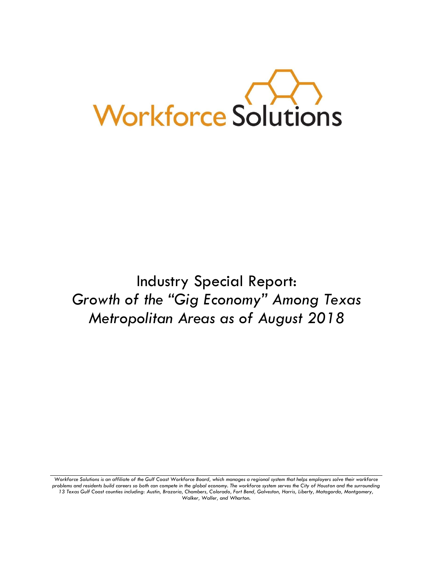

Industry Special Report: *Growth of the "Gig Economy" Among Texas Metropolitan Areas as of August 2018*

*Workforce Solutions is an affiliate of the Gulf Coast Workforce Board, which manages a regional system that helps employers solve their workforce problems and residents build careers so both can compete in the global economy. The workforce system serves the City of Houston and the surrounding 13 Texas Gulf Coast counties including: Austin, Brazoria, Chambers, Colorado, Fort Bend, Galveston, Harris, Liberty, Matagorda, Montgomery, Walker, Waller, and Wharton.*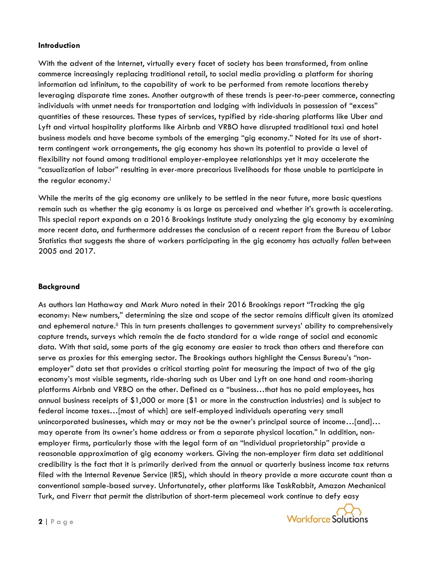### **Introduction**

With the advent of the Internet, virtually every facet of society has been transformed, from online commerce increasingly replacing traditional retail, to social media providing a platform for sharing information ad infinitum, to the capability of work to be performed from remote locations thereby leveraging disparate time zones. Another outgrowth of these trends is peer-to-peer commerce, connecting individuals with unmet needs for transportation and lodging with individuals in possession of "excess" quantities of these resources. These types of services, typified by ride-sharing platforms like Uber and Lyft and virtual hospitality platforms like Airbnb and VRBO have disrupted traditional taxi and hotel business models and have become symbols of the emerging "gig economy." Noted for its use of shortterm contingent work arrangements, the gig economy has shown its potential to provide a level of flexibility not found among traditional employer-employee relationships yet it may accelerate the "casualization of labor" resulting in ever-more precarious livelihoods for those unable to participate in the regular economy.<sup>i</sup>

While the merits of the gig economy are unlikely to be settled in the near future, more basic questions remain such as whether the gig economy is as large as perceived and whether it's growth is accelerating. This special report expands on a 2016 Brookings Institute study analyzing the gig economy by examining more recent data, and furthermore addresses the conclusion of a recent report from the Bureau of Labor Statistics that suggests the share of workers participating in the gig economy has actually *fallen* between 2005 and 2017.

### **Background**

As authors Ian Hathaway and Mark Muro noted in their 2016 Brookings report "Tracking the gig economy: New numbers," determining the size and scope of the sector remains difficult given its atomized and ephemeral nature.<sup>ii</sup> This in turn presents challenges to government surveys' ability to comprehensively capture trends, surveys which remain the de facto standard for a wide range of social and economic data. With that said, some parts of the gig economy are easier to track than others and therefore can serve as proxies for this emerging sector. The Brookings authors highlight the Census Bureau's "nonemployer" data set that provides a critical starting point for measuring the impact of two of the gig economy's most visible segments, ride-sharing such as Uber and Lyft on one hand and room-sharing platforms Airbnb and VRBO on the other. Defined as a "business…that has no paid employees, has annual business receipts of \$1,000 or more (\$1 or more in the construction industries) and is subject to federal income taxes…[most of which] are self-employed individuals operating very small unincorporated businesses, which may or may not be the owner's principal source of income…[and]… may operate from its owner's home address or from a separate physical location." In addition, nonemployer firms, particularly those with the legal form of an "Individual proprietorship" provide a reasonable approximation of gig economy workers. Giving the non-employer firm data set additional credibility is the fact that it is primarily derived from the annual or quarterly business income tax returns filed with the Internal Revenue Service (IRS), which should in theory provide a more accurate count than a conventional sample-based survey. Unfortunately, other platforms like TaskRabbit, Amazon Mechanical Turk, and Fiverr that permit the distribution of short-term piecemeal work continue to defy easy

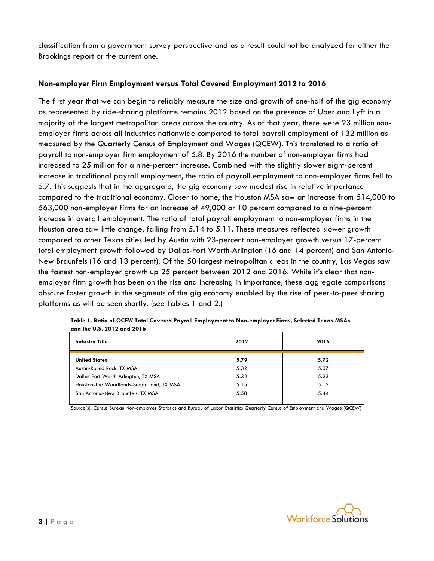classification from a government survey perspective and as a result could not be analyzed for either the Brookings report or the current one.

# **Non-employer Firm Employment versus Total Covered Employment 2012 to 2016**

The first year that we can begin to reliably measure the size and growth of one-half of the gig economy as represented by ride-sharing platforms remains 2012 based on the presence of Uber and Lyft in a majority of the largest metropolitan areas across the country. As of that year, there were 23 million nonemployer firms across all industries nationwide compared to total payroll employment of 132 million as measured by the Quarterly Census of Employment and Wages (QCEW). This translated to a ratio of payroll to non-employer firm employment of 5.8. By 2016 the number of non-employer firms had increased to 25 million for a nine-percent increase. Combined with the slightly slower eight-percent increase in traditional payroll employment, the ratio of payroll employment to non-employer firms fell to 5.7. This suggests that in the aggregate, the gig economy saw modest rise in relative importance compared to the traditional economy. Closer to home, the Houston MSA saw an increase from 514,000 to 563,000 non-employer firms for an increase of 49,000 or 10 percent compared to a nine-percent increase in overall employment. The ratio of total payroll employment to non-employer firms in the Houston area saw little change, falling from 5.14 to 5.11. These measures reflected slower growth compared to other Texas cities led by Austin with 23-percent non-employer growth versus 17-percent total employment growth followed by Dallas-Fort Worth-Arlington (16 and 14 percent) and San Antonio-New Braunfels (16 and 13 percent). Of the 50 largest metropolitan areas in the country, Las Vegas saw the fastest non-employer growth up 25 percent between 2012 and 2016. While it's clear that nonemployer firm growth has been on the rise and increasing in importance, these aggregate comparisons obscure faster growth in the segments of the gig economy enabled by the rise of peer-to-peer sharing platforms as will be seen shortly. (see Tables 1 and 2.)

| <b>Industry Title</b>                    | 2012 | 2016 |
|------------------------------------------|------|------|
| <b>United States</b>                     | 5.79 | 5.72 |
| Austin-Round Rock, TX MSA                | 5.32 | 5.07 |
| Dallas-Fort Worth-Arlington, TX MSA      | 5.32 | 5.23 |
| Houston-The Woodlands-Sugar Land, TX MSA | 5.15 | 5.12 |
| San Antonio-New Braunfels, TX MSA        | 5.58 | 5.44 |

**Table 1. Ratio of QCEW Total Covered Payroll Employment to Non-employer Firms, Selected Texas MSAs and the U.S. 2012 and 2016**

Source(s): Census Bureau Non-employer Statistics and Bureau of Labor Statistics Quarterly Census of Employment and Wages (QCEW)

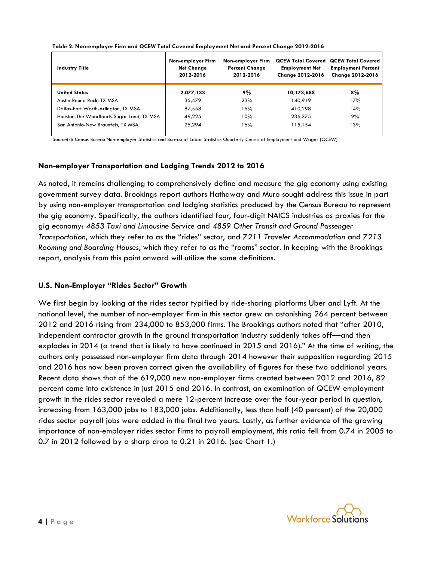| <b>Industry Title</b>                    | Non-employer Firm<br><b>Net Change</b><br>2012-2016 | Non-employer Firm<br><b>Percent Change</b><br>2012-2016 | <b>QCEW Total Covered</b><br><b>Employment Net</b><br><b>Change 2012-2016</b> | <b>QCEW Total Covered</b><br><b>Employment Percent</b><br><b>Change 2012-2016</b> |  |  |
|------------------------------------------|-----------------------------------------------------|---------------------------------------------------------|-------------------------------------------------------------------------------|-----------------------------------------------------------------------------------|--|--|
| <b>United States</b>                     | 2,077,133                                           | 9%                                                      | 10,173,688                                                                    | $8\%$                                                                             |  |  |
| Austin-Round Rock, TX MSA                | 35,479                                              | 23%                                                     | 140,919                                                                       | 17%                                                                               |  |  |
| Dallas-Fort Worth-Arlington, TX MSA      | 87,558                                              | 16%                                                     | 410,298                                                                       | 14%                                                                               |  |  |
| Houston-The Woodlands-Sugar Land, TX MSA | 49,225                                              | 10%                                                     | 236,375                                                                       | 9%                                                                                |  |  |
| San Antonio-New Braunfels, TX MSA        | 25,294                                              | 16%                                                     | 115,154                                                                       | 13%                                                                               |  |  |

#### **Table 2. Non-employer Firm and QCEW Total Covered Employment Net and Percent Change 2012-2016**

Source(s): Census Bureau Non-employer Statistics and Bureau of Labor Statistics Quarterly Census of Employment and Wages (QCEW)

# **Non-employer Transportation and Lodging Trends 2012 to 2016**

As noted, it remains challenging to comprehensively define and measure the gig economy using existing government survey data. Brookings report authors Hathaway and Muro sought address this issue in part by using non-employer transportation and lodging statistics produced by the Census Bureau to represent the gig economy. Specifically, the authors identified four, four-digit NAICS industries as proxies for the gig economy: *4853 Taxi and Limousine Service* and *4859 Other Transit and Ground Passenger Transportation*, which they refer to as the "rides" sector, and *7211 Traveler Accommodation* and *7213 Rooming and Boarding Houses*, which they refer to as the "rooms" sector. In keeping with the Brookings report, analysis from this point onward will utilize the same definitions.

## **U.S. Non-Employer "Rides Sector" Growth**

We first begin by looking at the rides sector typified by ride-sharing platforms Uber and Lyft. At the national level, the number of non-employer firm in this sector grew an astonishing 264 percent between 2012 and 2016 rising from 234,000 to 853,000 firms. The Brookings authors noted that "after 2010, independent contractor growth in the ground transportation industry suddenly takes off—and then explodes in 2014 (a trend that is likely to have continued in 2015 and 2016)." At the time of writing, the authors only possessed non-employer firm data through 2014 however their supposition regarding 2015 and 2016 has now been proven correct given the availability of figures for these two additional years. Recent data shows that of the 619,000 new non-employer firms created between 2012 and 2016, 82 percent came into existence in just 2015 and 2016. In contrast, an examination of QCEW employment growth in the rides sector revealed a mere 12-percent increase over the four-year period in question, increasing from 163,000 jobs to 183,000 jobs. Additionally, less than half (40 percent) of the 20,000 rides sector payroll jobs were added in the final two years. Lastly, as further evidence of the growing importance of non-employer rides sector firms to payroll employment, this ratio fell from 0.74 in 2005 to 0.7 in 2012 followed by a sharp drop to 0.21 in 2016. (see Chart 1.)

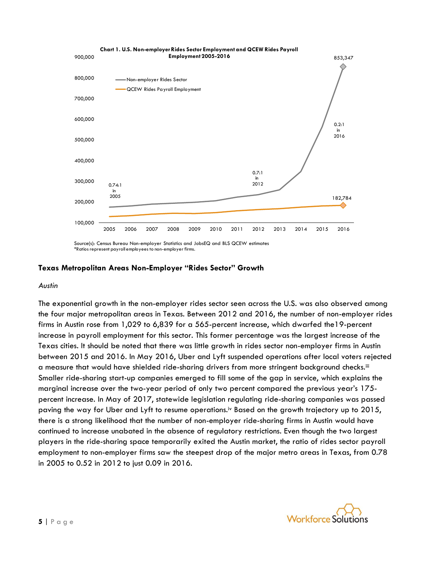

Source(s): Census Bureau Non-employer Statistics and JobsEQ and BLS QCEW estimates \*Ratios represent payroll employees to non-employer firms.

# **Texas Metropolitan Areas Non-Employer "Rides Sector" Growth**

#### *Austin*

The exponential growth in the non-employer rides sector seen across the U.S. was also observed among the four major metropolitan areas in Texas. Between 2012 and 2016, the number of non-employer rides firms in Austin rose from 1,029 to 6,839 for a 565-percent increase, which dwarfed the19-percent increase in payroll employment for this sector. This former percentage was the largest increase of the Texas cities. It should be noted that there was little growth in rides sector non-employer firms in Austin between 2015 and 2016. In May 2016, Uber and Lyft suspended operations after local voters rejected a measure that would have shielded ride-sharing drivers from more stringent background checks.<sup>iii</sup> Smaller ride-sharing start-up companies emerged to fill some of the gap in service, which explains the marginal increase over the two-year period of only two percent compared the previous year's 175 percent increase. In May of 2017, statewide legislation regulating ride-sharing companies was passed paving the way for Uber and Lyft to resume operations.iv Based on the growth trajectory up to 2015, there is a strong likelihood that the number of non-employer ride-sharing firms in Austin would have continued to increase unabated in the absence of regulatory restrictions. Even though the two largest players in the ride-sharing space temporarily exited the Austin market, the ratio of rides sector payroll employment to non-employer firms saw the steepest drop of the major metro areas in Texas, from 0.78 in 2005 to 0.52 in 2012 to just 0.09 in 2016.

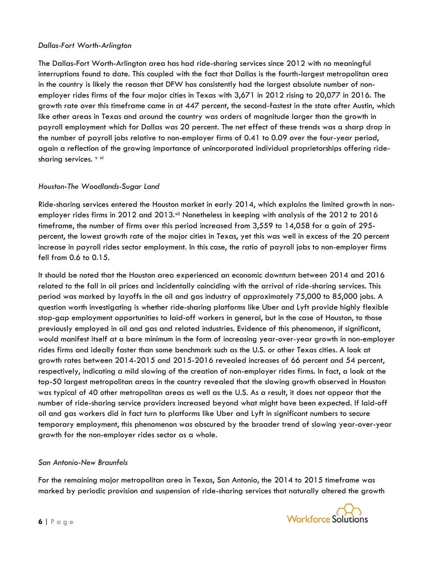# *Dallas-Fort Worth-Arlington*

The Dallas-Fort Worth-Arlington area has had ride-sharing services since 2012 with no meaningful interruptions found to date. This coupled with the fact that Dallas is the fourth-largest metropolitan area in the country is likely the reason that DFW has consistently had the largest absolute number of nonemployer rides firms of the four major cities in Texas with 3,671 in 2012 rising to 20,077 in 2016. The growth rate over this timeframe came in at 447 percent, the second-fastest in the state after Austin, which like other areas in Texas and around the country was orders of magnitude larger than the growth in payroll employment which for Dallas was 20 percent. The net effect of these trends was a sharp drop in the number of payroll jobs relative to non-employer firms of 0.41 to 0.09 over the four-year period, again a reflection of the growing importance of unincorporated individual proprietorships offering ridesharing services. v vi

# *Houston-The Woodlands-Sugar Land*

Ride-sharing services entered the Houston market in early 2014, which explains the limited growth in nonemployer rides firms in 2012 and 2013.vii Nonetheless in keeping with analysis of the 2012 to 2016 timeframe, the number of firms over this period increased from 3,559 to 14,058 for a gain of 295 percent, the lowest growth rate of the major cities in Texas, yet this was well in excess of the 20 percent increase in payroll rides sector employment. In this case, the ratio of payroll jobs to non-employer firms fell from 0.6 to 0.15.

It should be noted that the Houston area experienced an economic downturn between 2014 and 2016 related to the fall in oil prices and incidentally coinciding with the arrival of ride-sharing services. This period was marked by layoffs in the oil and gas industry of approximately 75,000 to 85,000 jobs. A question worth investigating is whether ride-sharing platforms like Uber and Lyft provide highly flexible stop-gap employment opportunities to laid-off workers in general, but in the case of Houston, to those previously employed in oil and gas and related industries. Evidence of this phenomenon, if significant, would manifest itself at a bare minimum in the form of increasing year-over-year growth in non-employer rides firms and ideally faster than some benchmark such as the U.S. or other Texas cities. A look at growth rates between 2014-2015 and 2015-2016 revealed increases of 66 percent and 54 percent, respectively, indicating a mild slowing of the creation of non-employer rides firms. In fact, a look at the top-50 largest metropolitan areas in the country revealed that the slowing growth observed in Houston was typical of 40 other metropolitan areas as well as the U.S. As a result, it does not appear that the number of ride-sharing service providers increased beyond what might have been expected. If laid-off oil and gas workers did in fact turn to platforms like Uber and Lyft in significant numbers to secure temporary employment, this phenomenon was obscured by the broader trend of slowing year-over-year growth for the non-employer rides sector as a whole.

# *San Antonio-New Braunfels*

For the remaining major metropolitan area in Texas, San Antonio, the 2014 to 2015 timeframe was marked by periodic provision and suspension of ride-sharing services that naturally altered the growth

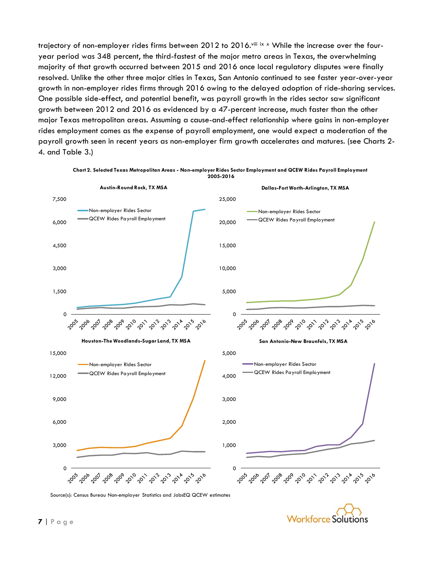trajectory of non-employer rides firms between 2012 to 2016. Ville ix x While the increase over the fouryear period was 348 percent, the third-fastest of the major metro areas in Texas, the overwhelming majority of that growth occurred between 2015 and 2016 once local regulatory disputes were finally resolved. Unlike the other three major cities in Texas, San Antonio continued to see faster year-over-year growth in non-employer rides firms through 2016 owing to the delayed adoption of ride-sharing services. One possible side-effect, and potential benefit, was payroll growth in the rides sector saw significant growth between 2012 and 2016 as evidenced by a 47-percent increase, much faster than the other major Texas metropolitan areas. Assuming a cause-and-effect relationship where gains in non-employer rides employment comes as the expense of payroll employment, one would expect a moderation of the payroll growth seen in recent years as non-employer firm growth accelerates and matures. (see Charts 2- 4. and Table 3.)



**Chart 2. Selected Texas Metropolitan Areas - Non-employer Rides Sector Employment and QCEW Rides Payroll Employment 2005-2016**

Source(s): Census Bureau Non-employer Statistics and JobsEQ QCEW estimates

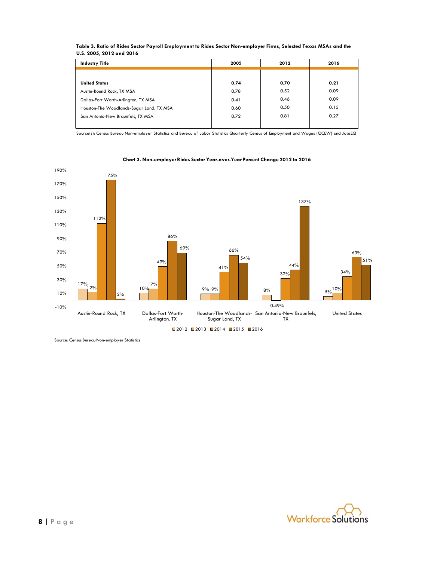| <b>Industry Title</b>                    | 2005 | 2012 | 2016 |  |  |
|------------------------------------------|------|------|------|--|--|
|                                          |      |      |      |  |  |
| <b>United States</b>                     | 0.74 | 0.70 | 0.21 |  |  |
| Austin-Round Rock, TX MSA                | 0.78 | 0.52 | 0.09 |  |  |
| Dallas-Fort Worth-Arlington, TX MSA      | 0.41 | 0.46 | 0.09 |  |  |
| Houston-The Woodlands-Sugar Land, TX MSA | 0.60 | 0.50 | 0.15 |  |  |
| San Antonio-New Braunfels, TX MSA        | 0.72 | 0.81 | 0.27 |  |  |
|                                          |      |      |      |  |  |

#### **Table 3. Ratio of Rides Sector Payroll Employment to Rides Sector Non-employer Firms, Selected Texas MSAs and the U.S. 2005, 2012 and 2016**

Source(s): Census Bureau Non-employer Statistics and Bureau of Labor Statistics Quarterly Census of Employment and Wages (QCEW) and JobsEQ



#### **Chart 3. Non-employerRides Sector Year-over-Year Percent Change 2012 to 2016**

Source: Census Bureau Non-employer Statistics

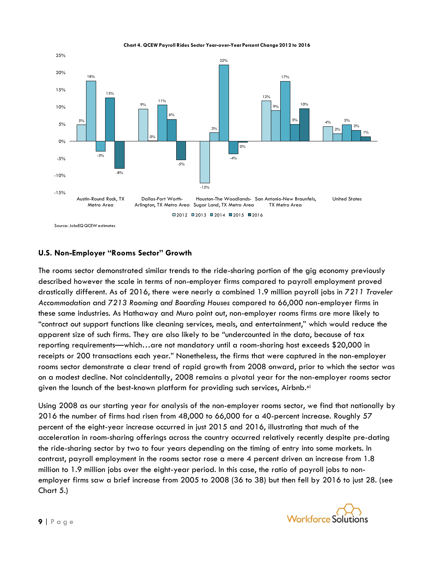**Chart 4. QCEW Payroll Rides Sector Year-over-Year Percent Change 2012 to 2016**



### **U.S. Non-Employer "Rooms Sector" Growth**

The rooms sector demonstrated similar trends to the ride-sharing portion of the gig economy previously described however the scale in terms of non-employer firms compared to payroll employment proved drastically different. As of 2016, there were nearly a combined 1.9 million payroll jobs in *7211 Traveler Accommodation* and *7213 Rooming and Boarding Houses* compared to 66,000 non-employer firms in these same industries. As Hathaway and Muro point out, non-employer rooms firms are more likely to "contract out support functions like cleaning services, meals, and entertainment," which would reduce the apparent size of such firms. They are also likely to be "undercounted in the data, because of tax reporting requirements—which…are not mandatory until a room-sharing host exceeds \$20,000 in receipts or 200 transactions each year." Nonetheless, the firms that were captured in the non-employer rooms sector demonstrate a clear trend of rapid growth from 2008 onward, prior to which the sector was on a modest decline. Not coincidentally, 2008 remains a pivotal year for the non-employer rooms sector given the launch of the best-known platform for providing such services, Airbnb.<sup>xi</sup>

Using 2008 as our starting year for analysis of the non-employer rooms sector, we find that nationally by 2016 the number of firms had risen from 48,000 to 66,000 for a 40-percent increase. Roughly 57 percent of the eight-year increase occurred in just 2015 and 2016, illustrating that much of the acceleration in room-sharing offerings across the country occurred relatively recently despite pre-dating the ride-sharing sector by two to four years depending on the timing of entry into some markets. In contrast, payroll employment in the rooms sector rose a mere 4 percent driven an increase from 1.8 million to 1.9 million jobs over the eight-year period. In this case, the ratio of payroll jobs to nonemployer firms saw a brief increase from 2005 to 2008 (36 to 38) but then fell by 2016 to just 28. (see Chart 5.)

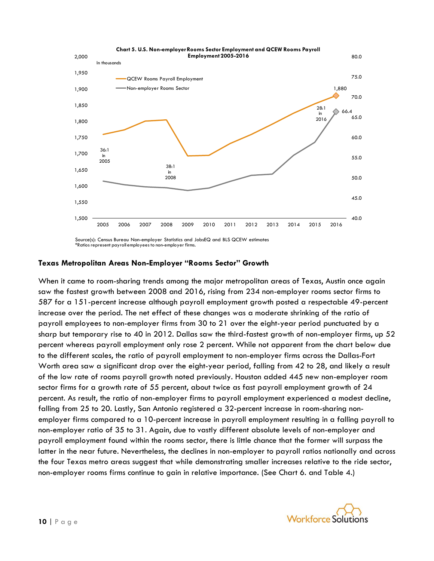

Source(s): Census Bureau Non-employer Statistics and JobsEQ and BLS QCEW estimates \*Ratios represent payroll employees to non-employer firms.

# **Texas Metropolitan Areas Non-Employer "Rooms Sector" Growth**

When it came to room-sharing trends among the major metropolitan areas of Texas, Austin once again saw the fastest growth between 2008 and 2016, rising from 234 non-employer rooms sector firms to 587 for a 151-percent increase although payroll employment growth posted a respectable 49-percent increase over the period. The net effect of these changes was a moderate shrinking of the ratio of payroll employees to non-employer firms from 30 to 21 over the eight-year period punctuated by a sharp but temporary rise to 40 in 2012. Dallas saw the third-fastest growth of non-employer firms, up 52 percent whereas payroll employment only rose 2 percent. While not apparent from the chart below due to the different scales, the ratio of payroll employment to non-employer firms across the Dallas-Fort Worth area saw a significant drop over the eight-year period, falling from 42 to 28, and likely a result of the low rate of rooms payroll growth noted previously. Houston added 445 new non-employer room sector firms for a growth rate of 55 percent, about twice as fast payroll employment growth of 24 percent. As result, the ratio of non-employer firms to payroll employment experienced a modest decline, falling from 25 to 20. Lastly, San Antonio registered a 32-percent increase in room-sharing nonemployer firms compared to a 10-percent increase in payroll employment resulting in a falling payroll to non-employer ratio of 35 to 31. Again, due to vastly different absolute levels of non-employer and payroll employment found within the rooms sector, there is little chance that the former will surpass the latter in the near future. Nevertheless, the declines in non-employer to payroll ratios nationally and across the four Texas metro areas suggest that while demonstrating smaller increases relative to the ride sector, non-employer rooms firms continue to gain in relative importance. (See Chart 6. and Table 4.)

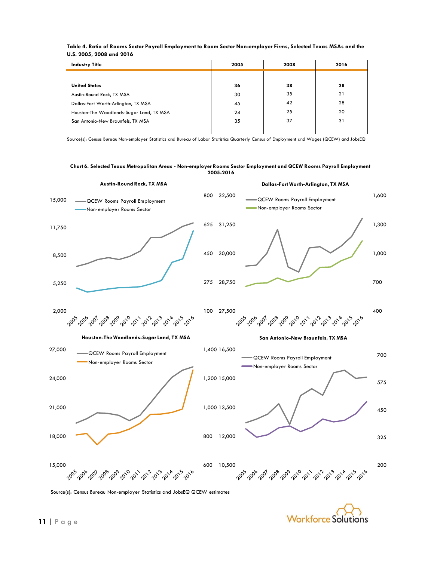| <b>Industry Title</b>                    | 2005 | 2008 | 2016 |  |
|------------------------------------------|------|------|------|--|
| <b>United States</b>                     | 36   | 38   | 28   |  |
| Austin-Round Rock, TX MSA                | 30   | 35   | 21   |  |
| Dallas-Fort Worth-Arlington, TX MSA      | 45   | 42   | 28   |  |
| Houston-The Woodlands-Sugar Land, TX MSA | 24   | 25   | 20   |  |
| San Antonio-New Braunfels, TX MSA        | 35   | 37   | 31   |  |

| Table 4. Ratio of Rooms Sector Payroll Employment to Room Sector Non-employer Firms, Selected Texas MSAs and the |
|------------------------------------------------------------------------------------------------------------------|
| U.S. 2005, 2008 and 2016                                                                                         |

Source(s): Census Bureau Non-employer Statistics and Bureau of Labor Statistics Quarterly Census of Employment and Wages (QCEW) and JobsEQ

#### **Chart 6. Selected Texas Metropolitan Areas - Non-employer Rooms Sector Employment and QCEW Rooms Payroll Employment 2005-2016**



Source(s): Census Bureau Non-employer Statistics and JobsEQ QCEW estimates

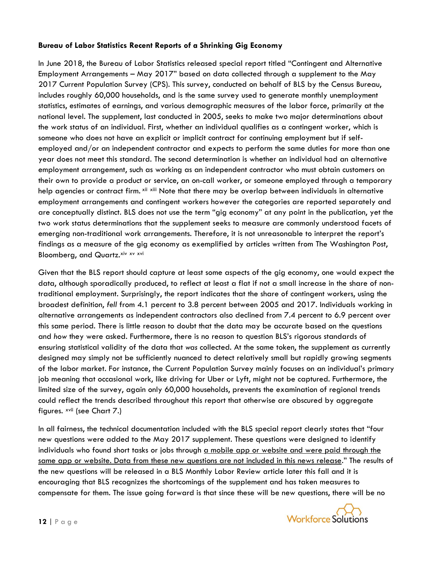# **Bureau of Labor Statistics Recent Reports of a Shrinking Gig Economy**

In June 2018, the Bureau of Labor Statistics released special report titled "Contingent and Alternative Employment Arrangements – May 2017" based on data collected through a supplement to the May 2017 Current Population Survey (CPS). This survey, conducted on behalf of BLS by the Census Bureau, includes roughly 60,000 households, and is the same survey used to generate monthly unemployment statistics, estimates of earnings, and various demographic measures of the labor force, primarily at the national level. The supplement, last conducted in 2005, seeks to make two major determinations about the work status of an individual. First, whether an individual qualifies as a contingent worker, which is someone who does not have an explicit or implicit contract for continuing employment but if selfemployed and/or an independent contractor and expects to perform the same duties for more than one year does not meet this standard. The second determination is whether an individual had an alternative employment arrangement, such as working as an independent contractor who must obtain customers on their own to provide a product or service, an on-call worker, or someone employed through a temporary help agencies or contract firm. <sup>xii xiii</sup> Note that there may be overlap between individuals in alternative employment arrangements and contingent workers however the categories are reported separately and are conceptually distinct. BLS does not use the term "gig economy" at any point in the publication, yet the two work status determinations that the supplement seeks to measure are commonly understood facets of emerging non-traditional work arrangements. Therefore, it is not unreasonable to interpret the report's findings as a measure of the gig economy as exemplified by articles written from The Washington Post, Bloomberg, and Quartz. Xiv XV XVi

Given that the BLS report should capture at least some aspects of the gig economy, one would expect the data, although sporadically produced, to reflect at least a flat if not a small increase in the share of nontraditional employment. Surprisingly, the report indicates that the share of contingent workers, using the broadest definition, *fell* from 4.1 percent to 3.8 percent between 2005 and 2017. Individuals working in alternative arrangements as independent contractors also declined from 7.4 percent to 6.9 percent over this same period. There is little reason to doubt that the data may be accurate based on the questions and *how* they were asked. Furthermore, there is no reason to question BLS's rigorous standards of ensuring statistical validity of the data that *was* collected. At the same token, the supplement as currently designed may simply not be sufficiently nuanced to detect relatively small but rapidly growing segments of the labor market. For instance, the Current Population Survey mainly focuses on an individual's primary job meaning that occasional work, like driving for Uber or Lyft, might not be captured. Furthermore, the limited size of the survey, again only 60,000 households, prevents the examination of regional trends could reflect the trends described throughout this report that otherwise are obscured by aggregate figures. <sup>xvii</sup> (see Chart 7.)

In all fairness, the technical documentation included with the BLS special report clearly states that "four new questions were added to the May 2017 supplement. These questions were designed to identify individuals who found short tasks or jobs through a mobile app or website and were paid through the same app or website. Data from these new questions are not included in this news release." The results of the new questions will be released in a BLS Monthly Labor Review article later this fall and it is encouraging that BLS recognizes the shortcomings of the supplement and has taken measures to compensate for them. The issue going forward is that since these will be new questions, there will be no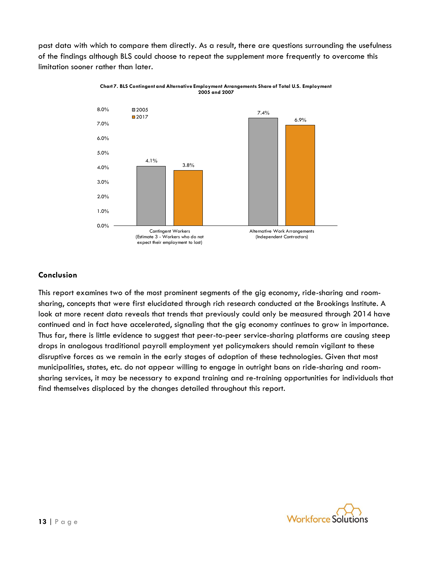past data with which to compare them directly. As a result, there are questions surrounding the usefulness of the findings although BLS could choose to repeat the supplement more frequently to overcome this limitation sooner rather than later.





# **Conclusion**

This report examines two of the most prominent segments of the gig economy, ride-sharing and roomsharing, concepts that were first elucidated through rich research conducted at the Brookings Institute. A look at more recent data reveals that trends that previously could only be measured through 2014 have continued and in fact have accelerated, signaling that the gig economy continues to grow in importance. Thus far, there is little evidence to suggest that peer-to-peer service-sharing platforms are causing steep drops in analogous traditional payroll employment yet policymakers should remain vigilant to these disruptive forces as we remain in the early stages of adoption of these technologies. Given that most municipalities, states, etc. do not appear willing to engage in outright bans on ride-sharing and roomsharing services, it may be necessary to expand training and re-training opportunities for individuals that find themselves displaced by the changes detailed throughout this report.

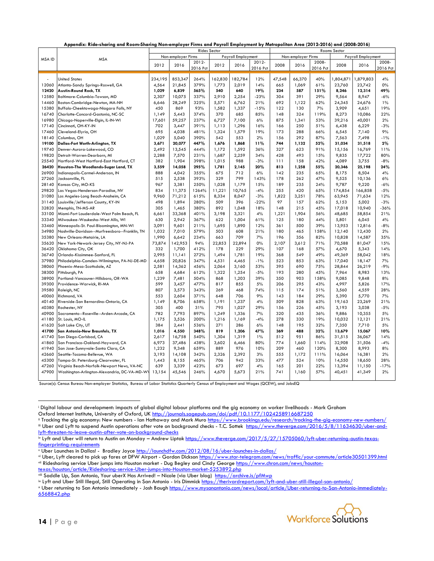|  |  |  |  |  |  |  |  | Appendix: Ride-sharing and Room-Sharing Non-employer Firms and Payroll Employment by Metropolitan Area (2012-2016) and (2008-2016) |
|--|--|--|--|--|--|--|--|------------------------------------------------------------------------------------------------------------------------------------|
|--|--|--|--|--|--|--|--|------------------------------------------------------------------------------------------------------------------------------------|

|        |                                                | <b>Rides Sector</b> |                    |          |                    |         | Rooms Sector |                    |        |          |                    |          |          |
|--------|------------------------------------------------|---------------------|--------------------|----------|--------------------|---------|--------------|--------------------|--------|----------|--------------------|----------|----------|
| MSA ID | <b>MSA</b>                                     |                     | Non-employer Firms |          | Payroll Employment |         |              | Non-employer Firms |        |          | Payroll Employment |          |          |
|        |                                                | 2012                | 2016               | 2012-    | 2012               | 2016    | 2012-        | 2008               | 2016   | 2008-    | 2008               | 2016     | 2008-    |
|        |                                                |                     |                    | 2016 Pct |                    |         | 2016 Pct     |                    |        | 2016 Pct |                    |          | 2016 Pct |
|        |                                                |                     |                    |          |                    |         |              |                    |        |          |                    |          |          |
|        | <b>United States</b>                           | 234,195             | 853,347            | 264%     | 162,830            | 182,784 | 12%          | 47,548             | 66,370 | 40%      | 1,804,871          | ,879,803 | 4%       |
| 12060  | Atlanta-Sandy Springs-Roswell, GA              | 4,564               | 21,845             | 379%     | 1,773              | 2,019   | 14%          | 665                | 1,069  | 61%      | 23,760             | 23,742   | 0%       |
| 12420  | Austin-Round Rock, TX                          | 1,029               | 6,839              | 565%     | 540                | 640     | 19%          | 234                | 587    | 151%     | 8,246              | 12,314   | 49%      |
| 12580  | Baltimore-Columbia-Towson, MD                  | 2,307               | 10,075             | 337%     | 2,910              | 2,254   | $-23%$       | 304                | 391    | 29%      | 9,564              | 8,947    | $-6%$    |
| 14460  | Boston-Cambridge-Newton, MA-NH                 | 6,646               | 28,249             | 325%     | 5,571              | 6,762   | 21%          | 692                | 1,122  | 62%      | 24,345             | 24,676   | 1%       |
| 15380  | Buffalo-Cheektowaga-Niagara Falls, NY          | 450                 | 869                | 93%      | 1,582              | 1,337   | -15%         | 122                | 130    | 7%       | 3,909              | 4,651    | 19%      |
| 16740  | Charlotte-Concord-Gastonia, NC-SC              | 1,149               | 5,443              | 374%     | 370                | 685     | 85%          | 148                | 324    | 119%     | 8,273              | 10,086   | 22%      |
| 16980  | Chicago-Naperville-Elgin, IL-IN-WI             | 17,601              | 59,257             | 237%     | 6,727              | 7,100   | 6%           | 875                | 1,341  | 53%      | 39,216             | 40,001   | 2%       |
| 17140  | Cincinnati, OH-KY-IN                           | 702                 | 3,447              | 391%     | 1,113              | 1,296   | 16%          | 166                | 250    | 51%      | 6,438              | 6,229    | $-3%$    |
| 17460  | Cleveland-Elyria, OH                           | 695                 | 4,038              | 481%     | 1,324              | 1,579   | 19%          | 173                | 288    | 66%      | 6,545              | 7,140    | 9%       |
| 18140  | Columbus, OH                                   | 1,029               | 5,040              | 390%     | 542                | 553     | 2%           | 156                | 292    | 87%      | 7,563              | 7,498    | $-1%$    |
| 19100  | Dallas-Fort Worth-Arlington, TX                | 3,671               | 20,077             | 447%     | 1,676              | 1,868   | 11%          | 744                | 1,132  | 52%      | 31,034             | 31,518   | 2%       |
| 19740  | Denver-Aurora-Lakewood, CO                     | 2,492               | 13,545             | 444%     | 1,172              | 1,592   | 36%          | 327                | 623    | 91%      | 15,156             | 16,769   | 11%      |
| 19820  | Detroit-Warren-Dearborn, MI                    | 2,288               | 7,570              | 231%     | 1,687              | 2,259   | 34%          | 428                | 493    | 15%      | 9,835              | 17,722   | 80%      |
| 25540  | Hartford-West Hartford-East Hartford, CT       | 382                 | 1,904              | 398%     | 1,015              | 988     | $-3%$        | 111                | 158    | 42%      | 4,089              | 3,755    | $-8%$    |
| 26420  | Houston-The Woodlands-Sugar Land, TX           | 3,559               | 14,058             | 295%     | 1,781              | 2,145   | 20%          | 813                | 1,258  | 55%      | 20,346             | 25,198   | 24%      |
| 26900  | Indianapolis-Carmel-Anderson, IN               | 888                 | 4,042              | 355%     | 675                | 712     | 6%           | 142                | 235    | 65%      | 8,175              | 8,504    | 4%       |
| 27260  | Jacksonville, FL                               | 515                 | 2,538              | 393%     | 329                | 799     | 143%         | 178                | 262    | 47%      | 9,525              | 10,136   | 6%       |
| 28140  | Kansas City, MO-KS                             | 967                 | 3,381              | 250%     | 1,028              | 1,179   | 15%          | 189                | 235    | 24%      | 9,787              | 9,220    | $-6%$    |
| 29820  | Las Vegas-Henderson-Paradise, NV               | 834                 | 11,375             | 1264%    | 11,221             | 10,765  | $-4%$        | 255                | 420    | 65%      | 174,854            | 166,858  | $-5%$    |
| 31080  | Los Angeles-Long Beach-Anaheim, CA             | 9,960               | 71,212             | 615%     | 8,334              | 8,047   | $-3%$        | 1,822              | 3,251  | 78%      | 63,945             | 71,634   | 12%      |
| 31140  | Louisville/Jefferson County, KY-IN             | 498                 | 1,894              | 280%     | 509                | 396     | $-22%$       | 97                 | 157    | 62%      | 5,153              | 5,002    | $-3%$    |
| 32820  | Memphis, TN-MS-AR                              | 305                 | 1,465              | 380%     | 892                | 1,048   | 18%          | 148                | 215    | 45%      | 17,018             | 10,940   | $-36%$   |
| 33100  | Miami-Fort Lauderdale-West Palm Beach, FL      | 6,661               | 33,368             | 401%     | 3,198              | 3,321   | 4%           | 1,221              | 1,904  | 56%      | 48,685             | 58,854   | 21%      |
| 33340  | Milwaukee-Waukesha-West Allis, WI              | 630                 | 2,942              | 367%     | 622                | 1,004   | 61%          | 125                | 180    | 44%      | 5,801              | 6,045    | 4%       |
| 33460  | Minneapolis-St. Paul-Bloomington, MN-WI        | 3,091               | 9,601              | 211%     | 1,695              | 1,890   | 12%          | 361                | 500    | 39%      | 13,953             | 12,816   | $-8%$    |
| 34980  | Nashville-Davidson--Murfreesboro--Franklin, TN | 1,032               | 7,010              | 579%     | 503                | 608     | 21%          | 180                | 465    | 158%     | 12,140             | 12,430   | 2%       |
| 35380  | New Orleans-Metairie, LA                       | 1,990               | 6,642              | 234%     | 663                | 709     | 7%           | 196                | 356    | 82%      | 10,828             | 14,587   | 35%      |
| 35620  | New York-Newark-Jersey City, NY-NJ-PA          | 73,874              | 142,953            | 94%      | 22,853             | 22,894  | $0\%$        | 2,107              | 3,612  | 71%      | 70,588             | 81,047   | 15%      |
| 36420  | Oklahoma City, OK                              | 332                 | 1,700              | 412%     | 178                | 229     | 29%          | 107                | 168    | 57%      | 4,670              | 5,343    | 14%      |
| 36740  | Orlando-Kissimmee-Sanford, FL                  | 2,995               | 11,141             | 272%     | 1,494              | 1,781   | 19%          | 368                | 549    | 49%      | 49,369             | 58,042   | 18%      |
| 37980  | Philadelphia-Camden-Wilmington, PA-NJ-DE-MD    | 4,658               | 20,826             | 347%     | 4,531              | 4,465   | $-1%$        | 523                | 853    | 63%      | 17,040             | 18,147   | 7%       |
| 38060  | Phoenix-Mesa-Scottsdale, AZ                    | 2,581               | 14,362             | 456%     | 2,064              | 3,160   | 53%          | 395                | 690    | 75%      | 28,844             | 26,219   | $-9%$    |
| 38300  | Pittsburgh, PA                                 | 658                 | 4,684              | 612%     | 1,322              | 1,254   | $-5%$        | 193                | 280    | 45%      | 7,964              | 8,983    | 13%      |
| 38900  | Portland-Vancouver-Hillsboro, OR-WA            | 1,239               | 7,481              | 504%     | 868                | 1,203   | 39%          | 350                | 903    | 158%     | 9,085              | 9,848    | 8%       |
| 39300  | Providence-Warwick, RI-MA                      | 599                 | 3,457              | 477%     | 817                | 855     | 5%           | 206                | 295    | 43%      | 4,997              | 5,826    | 17%      |
| 39580  | Raleigh, NC                                    | 807                 | 3,573              | 343%     | 269                | 468     | 74%          | 115                | 174    | 51%      | 3,560              | 4,559    | 28%      |
| 40060  | Richmond, VA                                   | 553                 | 2,604              | 371%     | 648                | 706     | 9%           | 143                | 184    | 29%      | 5,390              | 5,770    | 7%       |
| 40140  | Riverside-San Bernardino-Ontario, CA           | 1,149               | 8,706              | 658%     | 1,191              | 1,237   | 4%           | 509                | 828    | 63%      | 19,163             | 23,269   | 21%      |
| 40380  | Rochester, NY                                  | 305                 | 400                | 31%      | 795                | 1,027   | 29%          | 156                | 226    | 45%      | 3,193              | 3,038    | $-5%$    |
| 40900  | Sacramento--Roseville--Arden-Arcade, CA        | 782                 | 7,793              | 897%     | 1,249              | 1,336   | 7%           | 320                | 435    | 36%      | 9,886              | 10,355   | 5%       |
| 41180  | St. Louis, MO-IL                               | 1,175               | 3,526              | 200%     | 1,216              | 1,169   | $-4%$        | 278                | 330    | 19%      | 10,032             | 12,121   | 21%      |
| 41620  | Salt Lake City, UT                             | 384                 | 2,441              | 536%     | 271                | 286     | 6%           | 148                | 195    | 32%      | 7,350              | 7,710    | 5%       |
| 41700  | San Antonio-New Braunfels, TX                  | 1,016               | 4,550              | 348%     | 819                | 1,206   | 47%          | 369                | 488    | 32%      | 13,679             | 15,067   | 10%      |
| 41740  | San Diego-Carlsbad, CA                         | 2,617               | 16,758             | 540%     | 1,304              | 1,319   | 1%           | 512                | 951    | 86%      | 31,515             | 36,067   | 14%      |
| 41860  | San Francisco-Oakland-Hayward, CA              | 6,973               | 37,486             | 438%     | 3,602              | 6,466   | 80%          | 774                | 1,660  | 114%     | 32,908             | 31,506   | $-4%$    |
| 41940  | San Jose-Sunnyvale-Santa Clara, CA             | 1,232               | 9,348              | 659%     | 889                | 976     | 10%          | 209                | 460    | 120%     | 8,300              | 8,993    | 8%       |
| 42660  | Seattle-Tacoma-Bellevue, WA                    | 3,193               | 14,108             | 342%     | 2,326              | 2,392   | 3%           | 555                | 1,172  | 111%     | 16,064             | 16,381   | 2%       |
| 45300  | Tampa-St. Petersburg-Clearwater, FL            | 1,443               | 8,155              | 465%     | 706                | 942     | 33%          | 477                | 524    | 10%      | 14,550             | 18,650   | 28%      |
| 47260  | Virginia Beach-Norfolk-Newport News, VA-NC     | 639                 | 3,339              | 423%     | 673                | 697     | 4%           | 165                | 201    | 22%      | 13,394             | 11,150   | $-17%$   |
| 47900  | Washington-Arlington-Alexandria, DC-VA-MD-WY   | 13,154              | 45,546             | 246%     | 4,670              | 5,673   | 21%          | 741                | 1,160  | 57%      | 40,451             | 41,349   | 2%       |
|        |                                                |                     |                    |          |                    |         |              |                    |        |          |                    |          |          |

Source(s): Census Bureau Non-employer Statistics, Bureau of Labor Statistics Quarterly Census of Employment and Wages (QCEW), and JobsEQ

viii Saddle Up, San Antonio, Your uberX Has Arrived! – Nicole (via Uber blog)<https://archive.is/pfMwp>

<sup>x</sup> Uber returning to San Antonio immediately - Josh Baug[h https://www.mysanantonio.com/news/local/article/Uber-returning-to-San-Antonio-immediately-](https://www.mysanantonio.com/news/local/article/Uber-returning-to-San-Antonio-immediately-6568842.php)[6568842.php](https://www.mysanantonio.com/news/local/article/Uber-returning-to-San-Antonio-immediately-6568842.php)



 $\overline{\phantom{a}}$ 

<sup>i</sup> Digital labour and development: impacts of global digital labour platforms and the gig economy on worker livelihoods - Mark Graham Oxford Internet Institute, University of Oxford, UK<http://journals.sagepub.com/doi/pdf/10.1177/1024258916687250>

ii Tracking the gig economy: New numbers - Ian Hathaway and Mark Muro <https://www.brookings.edu/research/tracking-the-gig-economy-new-numbers/> iii Uber and Lyft to suspend Austin operations after vote on background checks - T.C. Sottek [https://www.theverge.com/2016/5/8/11634630/uber-and](https://www.theverge.com/2016/5/8/11634630/uber-and-lyft-threaten-to-leave-austin-after-vote-on-background-checks)[lyft-threaten-to-leave-austin-after-vote-on-background-checks](https://www.theverge.com/2016/5/8/11634630/uber-and-lyft-threaten-to-leave-austin-after-vote-on-background-checks)

 $\frac{1}{N}$  Lyft and Uber will return to Austin on Monday – Andrew Liptak [https://www.theverge.com/2017/5/27/15705060/lyft-uber-returning-austin-texas](https://www.theverge.com/2017/5/27/15705060/lyft-uber-returning-austin-texas-fingerprinting-requirements)[fingerprinting-requirements](https://www.theverge.com/2017/5/27/15705060/lyft-uber-returning-austin-texas-fingerprinting-requirements)

<sup>v</sup> Uber Launches in Dallas! - Bradley Joyc[e http://launchdfw.com/2012/08/16/uber-launches-in-dallas/](http://launchdfw.com/2012/08/16/uber-launches-in-dallas/)

vi Uber, Lyft cleared to pick up fares at DFW Airport - Gordon Dickso[n https://www.star-telegram.com/news/traffic/your-commute/article30501399.html](https://www.star-telegram.com/news/traffic/your-commute/article30501399.html) vii Ridesharing service Uber jumps into Houston market - Dug Begley and Cindy Georg[e https://www.chron.com/news/houston-](https://www.chron.com/news/houston-texas/houston/article/Ridesharing-service-Uber-jumps-into-Houston-market-5253892.php)

[texas/houston/article/Ridesharing-service-Uber-jumps-into-Houston-market-5253892.php](https://www.chron.com/news/houston-texas/houston/article/Ridesharing-service-Uber-jumps-into-Houston-market-5253892.php)

<sup>&</sup>lt;sup>ix</sup> Lyft and Uber Still Illegal, Still Operating in San Antonio - Iris Dimmic[k https://therivardreport.com/lyft-and-uber-still-illegal-san-antonio/](https://therivardreport.com/lyft-and-uber-still-illegal-san-antonio/)